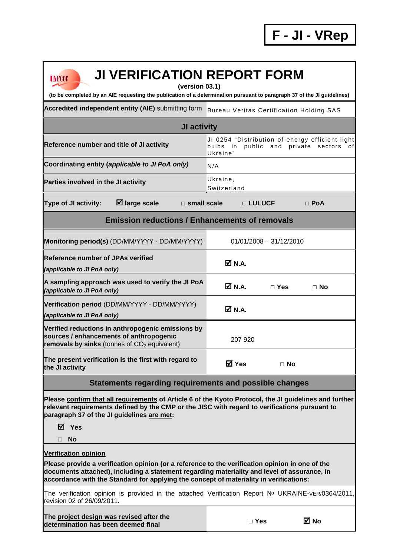| <b>JI VERIFICATION REPORT FORM</b><br><b>UNFCCC</b><br>(version 03.1)                                                                                                                                                                                                                    |                                                                                                           |  |  |  |
|------------------------------------------------------------------------------------------------------------------------------------------------------------------------------------------------------------------------------------------------------------------------------------------|-----------------------------------------------------------------------------------------------------------|--|--|--|
| (to be completed by an AIE requesting the publication of a determination pursuant to paragraph 37 of the JI guidelines)                                                                                                                                                                  |                                                                                                           |  |  |  |
| Accredited independent entity (AIE) submitting form                                                                                                                                                                                                                                      | <b>Bureau Veritas Certification Holding SAS</b>                                                           |  |  |  |
| <b>JI activity</b>                                                                                                                                                                                                                                                                       |                                                                                                           |  |  |  |
| Reference number and title of JI activity                                                                                                                                                                                                                                                | JI 0254 "Distribution of energy efficient light<br>bulbs in public and private sectors<br>ofl<br>Ukraine" |  |  |  |
| Coordinating entity (applicable to JI PoA only)                                                                                                                                                                                                                                          | N/A                                                                                                       |  |  |  |
| Parties involved in the JI activity                                                                                                                                                                                                                                                      | Ukraine,<br>Switzerland                                                                                   |  |  |  |
| $\boxtimes$ large scale<br>Type of JI activity:<br>$\square$ small scale                                                                                                                                                                                                                 | □ LULUCF<br>$\Box$ PoA                                                                                    |  |  |  |
| <b>Emission reductions / Enhancements of removals</b>                                                                                                                                                                                                                                    |                                                                                                           |  |  |  |
| Monitoring period(s) (DD/MM/YYYY - DD/MM/YYYY)                                                                                                                                                                                                                                           | $01/01/2008 - 31/12/2010$                                                                                 |  |  |  |
| <b>Reference number of JPAs verified</b><br>(applicable to JI PoA only)                                                                                                                                                                                                                  | Ø N.A.                                                                                                    |  |  |  |
| A sampling approach was used to verify the JI PoA<br>(applicable to JI PoA only)                                                                                                                                                                                                         | <b>Ø</b> N.A.<br>$\Box$ Yes<br>⊟ No                                                                       |  |  |  |
| Verification period (DD/MM/YYYY - DD/MM/YYYY)<br>(applicable to JI PoA only)                                                                                                                                                                                                             | ØN.A.                                                                                                     |  |  |  |
| Verified reductions in anthropogenic emissions by<br>sources / enhancements of anthropogenic<br>removals by sinks (tonnes of CO <sub>2</sub> equivalent)                                                                                                                                 | 207 920                                                                                                   |  |  |  |
| The present verification is the first with regard to<br>the JI activity                                                                                                                                                                                                                  | <b>ØYes</b><br>$\Box$ No                                                                                  |  |  |  |
| Statements regarding requirements and possible changes                                                                                                                                                                                                                                   |                                                                                                           |  |  |  |
| Please confirm that all requirements of Article 6 of the Kyoto Protocol, the JI guidelines and further<br>relevant requirements defined by the CMP or the JISC with regard to verifications pursuant to<br>paragraph 37 of the JI guidelines are met:                                    |                                                                                                           |  |  |  |
| <b>☑</b> Yes<br><b>No</b><br>П                                                                                                                                                                                                                                                           |                                                                                                           |  |  |  |
| <b>Verification opinion</b>                                                                                                                                                                                                                                                              |                                                                                                           |  |  |  |
| Please provide a verification opinion (or a reference to the verification opinion in one of the<br>documents attached), including a statement regarding materiality and level of assurance, in<br>accordance with the Standard for applying the concept of materiality in verifications: |                                                                                                           |  |  |  |
| The verification opinion is provided in the attached Verification Report Nº UKRAINE-VER/0364/2011,<br>revision 02 of 26/09/2011.                                                                                                                                                         |                                                                                                           |  |  |  |
| The project design was revised after the<br>determination has been deemed final                                                                                                                                                                                                          | ⊠ No<br>$\Box$ Yes                                                                                        |  |  |  |